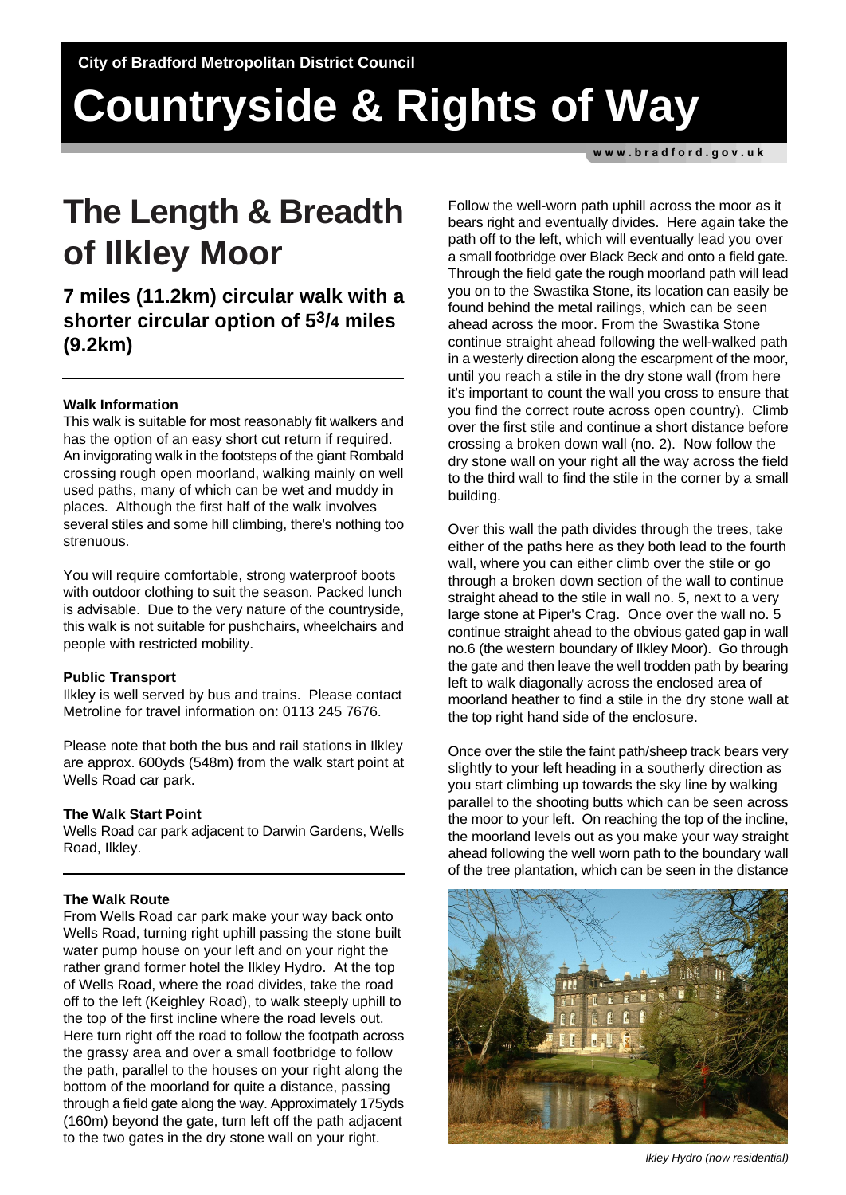# **Countryside & Rights of Way**

www.bradford.gov.uk

## **The Length & Breadth of Ilkley Moor**

**7 miles (11.2km) circular walk with a shorter circular option of 53/4 miles (9.2km)**

### **Walk Information**

This walk is suitable for most reasonably fit walkers and has the option of an easy short cut return if required. An invigorating walk in the footsteps of the giant Rombald crossing rough open moorland, walking mainly on well used paths, many of which can be wet and muddy in places. Although the first half of the walk involves several stiles and some hill climbing, there's nothing too strenuous.

You will require comfortable, strong waterproof boots with outdoor clothing to suit the season. Packed lunch is advisable. Due to the very nature of the countryside, this walk is not suitable for pushchairs, wheelchairs and people with restricted mobility.

#### **Public Transport**

Ilkley is well served by bus and trains. Please contact Metroline for travel information on: 0113 245 7676.

Please note that both the bus and rail stations in Ilkley are approx. 600yds (548m) from the walk start point at Wells Road car park.

#### **The Walk Start Point**

Wells Road car park adjacent to Darwin Gardens, Wells Road, Ilkley.

### **The Walk Route**

From Wells Road car park make your way back onto Wells Road, turning right uphill passing the stone built water pump house on your left and on your right the rather grand former hotel the Ilkley Hydro. At the top of Wells Road, where the road divides, take the road off to the left (Keighley Road), to walk steeply uphill to the top of the first incline where the road levels out. Here turn right off the road to follow the footpath across the grassy area and over a small footbridge to follow the path, parallel to the houses on your right along the bottom of the moorland for quite a distance, passing through a field gate along the way. Approximately 175yds (160m) beyond the gate, turn left off the path adjacent to the two gates in the dry stone wall on your right.

Follow the well-worn path uphill across the moor as it bears right and eventually divides. Here again take the path off to the left, which will eventually lead you over a small footbridge over Black Beck and onto a field gate. Through the field gate the rough moorland path will lead you on to the Swastika Stone, its location can easily be found behind the metal railings, which can be seen ahead across the moor. From the Swastika Stone continue straight ahead following the well-walked path in a westerly direction along the escarpment of the moor, until you reach a stile in the dry stone wall (from here it's important to count the wall you cross to ensure that you find the correct route across open country). Climb over the first stile and continue a short distance before crossing a broken down wall (no. 2). Now follow the dry stone wall on your right all the way across the field to the third wall to find the stile in the corner by a small building.

Over this wall the path divides through the trees, take either of the paths here as they both lead to the fourth wall, where you can either climb over the stile or go through a broken down section of the wall to continue straight ahead to the stile in wall no. 5, next to a very large stone at Piper's Crag. Once over the wall no. 5 continue straight ahead to the obvious gated gap in wall no.6 (the western boundary of Ilkley Moor). Go through the gate and then leave the well trodden path by bearing left to walk diagonally across the enclosed area of moorland heather to find a stile in the dry stone wall at the top right hand side of the enclosure.

Once over the stile the faint path/sheep track bears very slightly to your left heading in a southerly direction as you start climbing up towards the sky line by walking parallel to the shooting butts which can be seen across the moor to your left. On reaching the top of the incline, the moorland levels out as you make your way straight ahead following the well worn path to the boundary wall of the tree plantation, which can be seen in the distance



 *lkley Hydro (now residential)*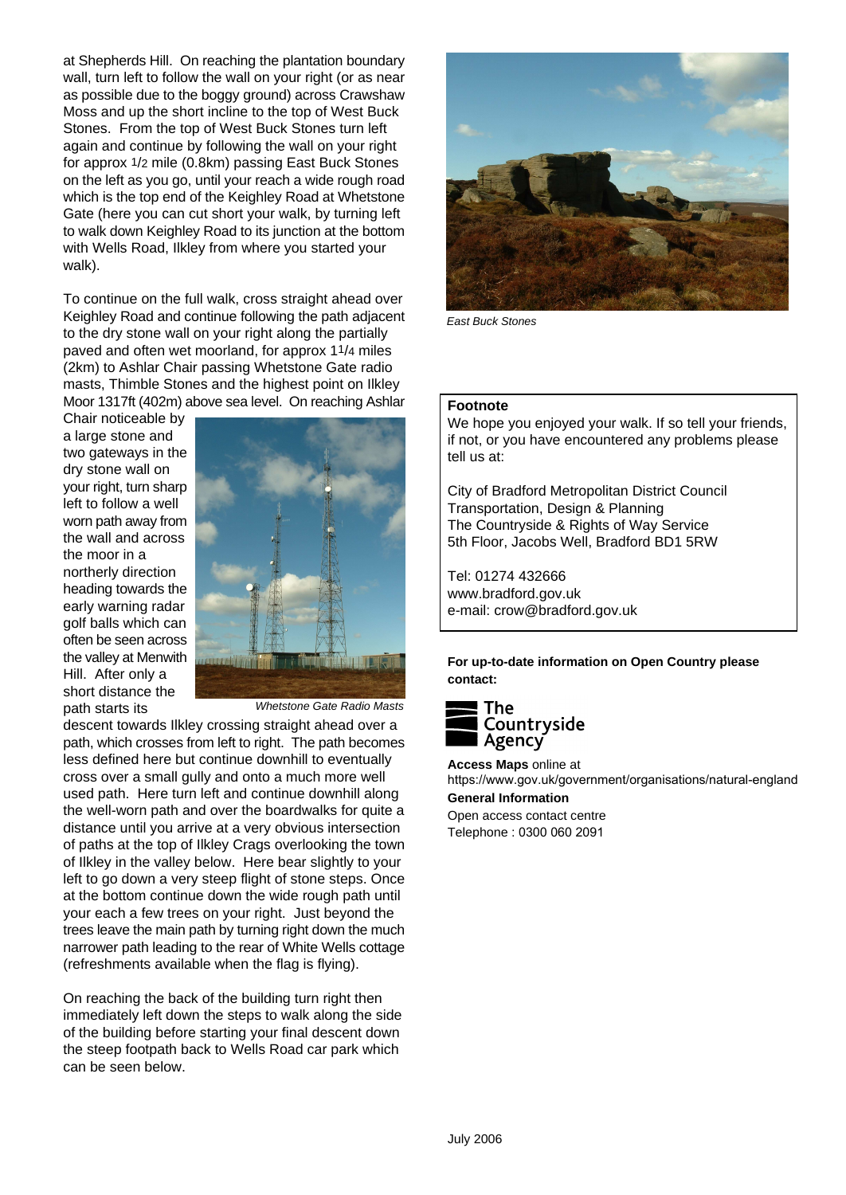at Shepherds Hill. On reaching the plantation boundary wall, turn left to follow the wall on your right (or as near as possible due to the boggy ground) across Crawshaw Moss and up the short incline to the top of West Buck Stones. From the top of West Buck Stones turn left again and continue by following the wall on your right for approx 1/2 mile (0.8km) passing East Buck Stones on the left as you go, until your reach a wide rough road which is the top end of the Keighley Road at Whetstone Gate (here you can cut short your walk, by turning left to walk down Keighley Road to its junction at the bottom with Wells Road, Ilkley from where you started your walk).

To continue on the full walk, cross straight ahead over Keighley Road and continue following the path adjacent to the dry stone wall on your right along the partially paved and often wet moorland, for approx 11/4 miles (2km) to Ashlar Chair passing Whetstone Gate radio masts, Thimble Stones and the highest point on Ilkley Moor 1317ft (402m) above sea level. On reaching Ashlar

Chair noticeable by a large stone and two gateways in the dry stone wall on your right, turn sharp left to follow a well worn path away from the wall and across the moor in a northerly direction heading towards the early warning radar golf balls which can often be seen across the valley at Menwith Hill. After only a short distance the path starts its



 *Whetstone Gate Radio Masts*

descent towards Ilkley crossing straight ahead over a path, which crosses from left to right. The path becomes less defined here but continue downhill to eventually cross over a small gully and onto a much more well used path. Here turn left and continue downhill along the well-worn path and over the boardwalks for quite a distance until you arrive at a very obvious intersection of paths at the top of Ilkley Crags overlooking the town of Ilkley in the valley below. Here bear slightly to your left to go down a very steep flight of stone steps. Once at the bottom continue down the wide rough path until your each a few trees on your right. Just beyond the trees leave the main path by turning right down the much narrower path leading to the rear of White Wells cottage (refreshments available when the flag is flying).

On reaching the back of the building turn right then immediately left down the steps to walk along the side of the building before starting your final descent down the steep footpath back to Wells Road car park which can be seen below.



*East Buck Stones*

#### **Footnote**

We hope you enjoyed your walk. If so tell your friends, if not, or you have encountered any problems please tell us at:

City of Bradford Metropolitan District Council Transportation, Design & Planning The Countryside & Rights of Way Service 5th Floor, Jacobs Well, Bradford BD1 5RW

Tel: 01274 432666 www.bradford.gov.uk e-mail: crow@bradford.gov.uk

**For up-to-date information on Open Country please contact:**



**Access Maps** online at https://www.gov.uk/government/organisations/natural-england

**General Information** Open access contact centre Telephone : 0300 060 2091